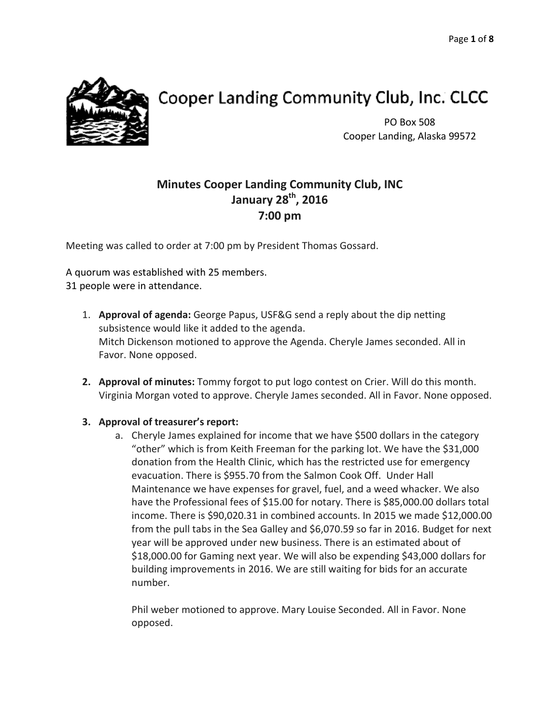

# Cooper Landing Community Club, Inc. CLCC

PO Box 508 Cooper Landing, Alaska 99572

# **Minutes Cooper Landing Community Club, INC January 28th, 2016 7:00 pm**

Meeting was called to order at 7:00 pm by President Thomas Gossard.

A quorum was established with 25 members. 31 people were in attendance.

- 1. **Approval of agenda:** George Papus, USF&G send a reply about the dip netting subsistence would like it added to the agenda. Mitch Dickenson motioned to approve the Agenda. Cheryle James seconded. All in Favor. None opposed.
- **2. Approval of minutes:** Tommy forgot to put logo contest on Crier. Will do this month. Virginia Morgan voted to approve. Cheryle James seconded. All in Favor. None opposed.

# **3. Approval of treasurer's report:**

a. Cheryle James explained for income that we have \$500 dollars in the category "other" which is from Keith Freeman for the parking lot. We have the \$31,000 donation from the Health Clinic, which has the restricted use for emergency evacuation. There is \$955.70 from the Salmon Cook Off. Under Hall Maintenance we have expenses for gravel, fuel, and a weed whacker. We also have the Professional fees of \$15.00 for notary. There is \$85,000.00 dollars total income. There is \$90,020.31 in combined accounts. In 2015 we made \$12,000.00 from the pull tabs in the Sea Galley and \$6,070.59 so far in 2016. Budget for next year will be approved under new business. There is an estimated about of \$18,000.00 for Gaming next year. We will also be expending \$43,000 dollars for building improvements in 2016. We are still waiting for bids for an accurate number.

Phil weber motioned to approve. Mary Louise Seconded. All in Favor. None opposed.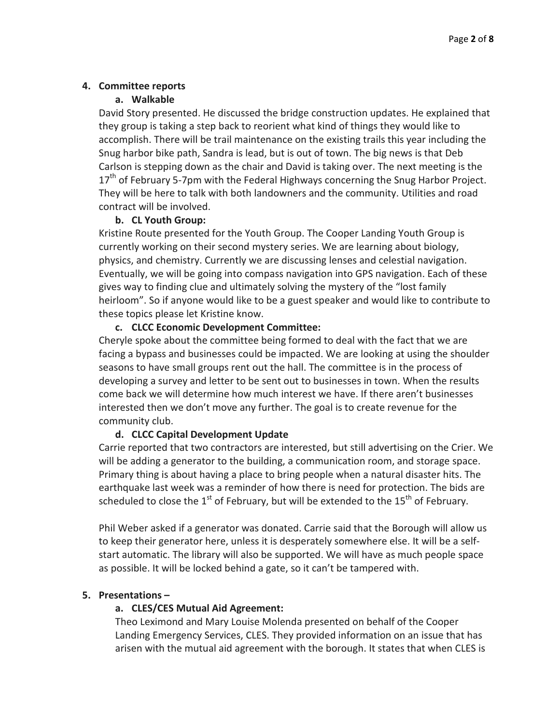#### **4. Committee reports**

#### **a. Walkable**

David Story presented. He discussed the bridge construction updates. He explained that they group is taking a step back to reorient what kind of things they would like to accomplish. There will be trail maintenance on the existing trails this year including the Snug harbor bike path, Sandra is lead, but is out of town. The big news is that Deb Carlson is stepping down as the chair and David is taking over. The next meeting is the  $17<sup>th</sup>$  of February 5-7pm with the Federal Highways concerning the Snug Harbor Project. They will be here to talk with both landowners and the community. Utilities and road contract will be involved.

#### **b. CL Youth Group:**

Kristine Route presented for the Youth Group. The Cooper Landing Youth Group is currently working on their second mystery series. We are learning about biology, physics, and chemistry. Currently we are discussing lenses and celestial navigation. Eventually, we will be going into compass navigation into GPS navigation. Each of these gives way to finding clue and ultimately solving the mystery of the "lost family heirloom". So if anyone would like to be a guest speaker and would like to contribute to these topics please let Kristine know.

#### **c. CLCC Economic Development Committee:**

Cheryle spoke about the committee being formed to deal with the fact that we are facing a bypass and businesses could be impacted. We are looking at using the shoulder seasons to have small groups rent out the hall. The committee is in the process of developing a survey and letter to be sent out to businesses in town. When the results come back we will determine how much interest we have. If there aren't businesses interested then we don't move any further. The goal is to create revenue for the community club.

#### **d. CLCC Capital Development Update**

Carrie reported that two contractors are interested, but still advertising on the Crier. We will be adding a generator to the building, a communication room, and storage space. Primary thing is about having a place to bring people when a natural disaster hits. The earthquake last week was a reminder of how there is need for protection. The bids are scheduled to close the  $1^{st}$  of February, but will be extended to the  $15^{th}$  of February.

Phil Weber asked if a generator was donated. Carrie said that the Borough will allow us to keep their generator here, unless it is desperately somewhere else. It will be a selfstart automatic. The library will also be supported. We will have as much people space as possible. It will be locked behind a gate, so it can't be tampered with.

#### **5. Presentations –**

#### **a. CLES/CES Mutual Aid Agreement:**

Theo Leximond and Mary Louise Molenda presented on behalf of the Cooper Landing Emergency Services, CLES. They provided information on an issue that has arisen with the mutual aid agreement with the borough. It states that when CLES is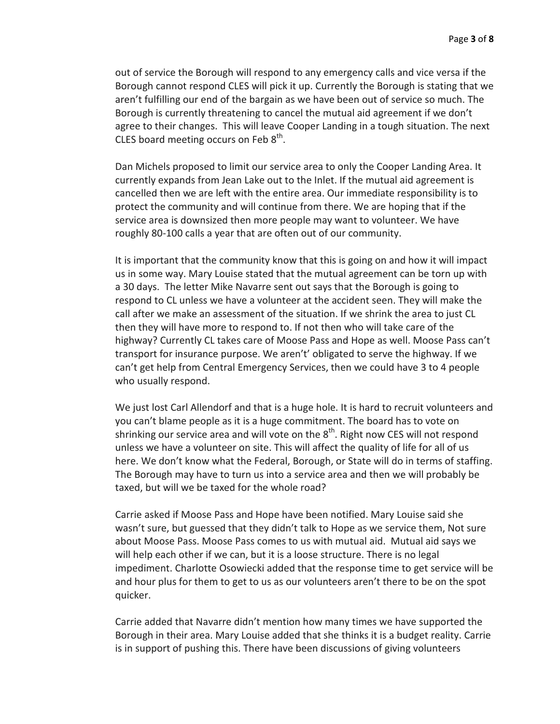out of service the Borough will respond to any emergency calls and vice versa if the Borough cannot respond CLES will pick it up. Currently the Borough is stating that we aren't fulfilling our end of the bargain as we have been out of service so much. The Borough is currently threatening to cancel the mutual aid agreement if we don't agree to their changes. This will leave Cooper Landing in a tough situation. The next CLES board meeting occurs on Feb  $8<sup>th</sup>$ .

Dan Michels proposed to limit our service area to only the Cooper Landing Area. It currently expands from Jean Lake out to the Inlet. If the mutual aid agreement is cancelled then we are left with the entire area. Our immediate responsibility is to protect the community and will continue from there. We are hoping that if the service area is downsized then more people may want to volunteer. We have roughly 80-100 calls a year that are often out of our community.

It is important that the community know that this is going on and how it will impact us in some way. Mary Louise stated that the mutual agreement can be torn up with a 30 days. The letter Mike Navarre sent out says that the Borough is going to respond to CL unless we have a volunteer at the accident seen. They will make the call after we make an assessment of the situation. If we shrink the area to just CL then they will have more to respond to. If not then who will take care of the highway? Currently CL takes care of Moose Pass and Hope as well. Moose Pass can't transport for insurance purpose. We aren't' obligated to serve the highway. If we can't get help from Central Emergency Services, then we could have 3 to 4 people who usually respond.

We just lost Carl Allendorf and that is a huge hole. It is hard to recruit volunteers and you can't blame people as it is a huge commitment. The board has to vote on shrinking our service area and will vote on the  $8<sup>th</sup>$ . Right now CES will not respond unless we have a volunteer on site. This will affect the quality of life for all of us here. We don't know what the Federal, Borough, or State will do in terms of staffing. The Borough may have to turn us into a service area and then we will probably be taxed, but will we be taxed for the whole road?

Carrie asked if Moose Pass and Hope have been notified. Mary Louise said she wasn't sure, but guessed that they didn't talk to Hope as we service them, Not sure about Moose Pass. Moose Pass comes to us with mutual aid. Mutual aid says we will help each other if we can, but it is a loose structure. There is no legal impediment. Charlotte Osowiecki added that the response time to get service will be and hour plus for them to get to us as our volunteers aren't there to be on the spot quicker.

Carrie added that Navarre didn't mention how many times we have supported the Borough in their area. Mary Louise added that she thinks it is a budget reality. Carrie is in support of pushing this. There have been discussions of giving volunteers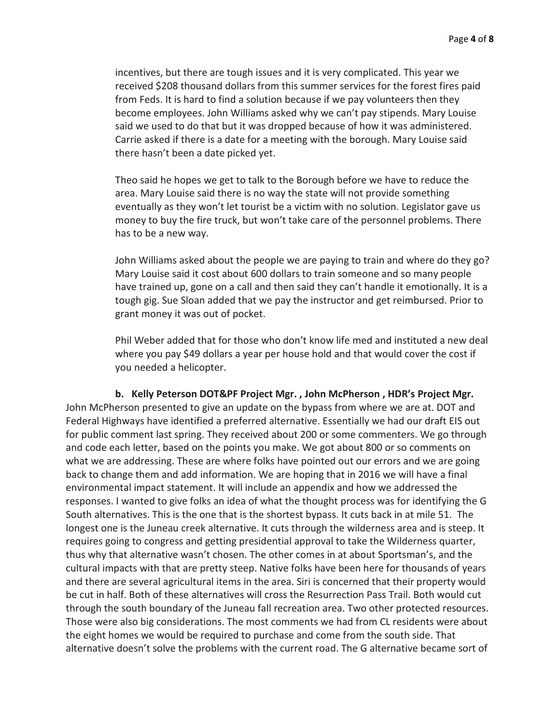incentives, but there are tough issues and it is very complicated. This year we received \$208 thousand dollars from this summer services for the forest fires paid from Feds. It is hard to find a solution because if we pay volunteers then they become employees. John Williams asked why we can't pay stipends. Mary Louise said we used to do that but it was dropped because of how it was administered. Carrie asked if there is a date for a meeting with the borough. Mary Louise said there hasn't been a date picked yet.

Theo said he hopes we get to talk to the Borough before we have to reduce the area. Mary Louise said there is no way the state will not provide something eventually as they won't let tourist be a victim with no solution. Legislator gave us money to buy the fire truck, but won't take care of the personnel problems. There has to be a new way.

John Williams asked about the people we are paying to train and where do they go? Mary Louise said it cost about 600 dollars to train someone and so many people have trained up, gone on a call and then said they can't handle it emotionally. It is a tough gig. Sue Sloan added that we pay the instructor and get reimbursed. Prior to grant money it was out of pocket.

Phil Weber added that for those who don't know life med and instituted a new deal where you pay \$49 dollars a year per house hold and that would cover the cost if you needed a helicopter.

**b. Kelly Peterson DOT&PF Project Mgr. , John McPherson , HDR's Project Mgr.** John McPherson presented to give an update on the bypass from where we are at. DOT and Federal Highways have identified a preferred alternative. Essentially we had our draft EIS out for public comment last spring. They received about 200 or some commenters. We go through and code each letter, based on the points you make. We got about 800 or so comments on what we are addressing. These are where folks have pointed out our errors and we are going back to change them and add information. We are hoping that in 2016 we will have a final environmental impact statement. It will include an appendix and how we addressed the responses. I wanted to give folks an idea of what the thought process was for identifying the G South alternatives. This is the one that is the shortest bypass. It cuts back in at mile 51. The longest one is the Juneau creek alternative. It cuts through the wilderness area and is steep. It requires going to congress and getting presidential approval to take the Wilderness quarter, thus why that alternative wasn't chosen. The other comes in at about Sportsman's, and the cultural impacts with that are pretty steep. Native folks have been here for thousands of years and there are several agricultural items in the area. Siri is concerned that their property would be cut in half. Both of these alternatives will cross the Resurrection Pass Trail. Both would cut through the south boundary of the Juneau fall recreation area. Two other protected resources. Those were also big considerations. The most comments we had from CL residents were about the eight homes we would be required to purchase and come from the south side. That alternative doesn't solve the problems with the current road. The G alternative became sort of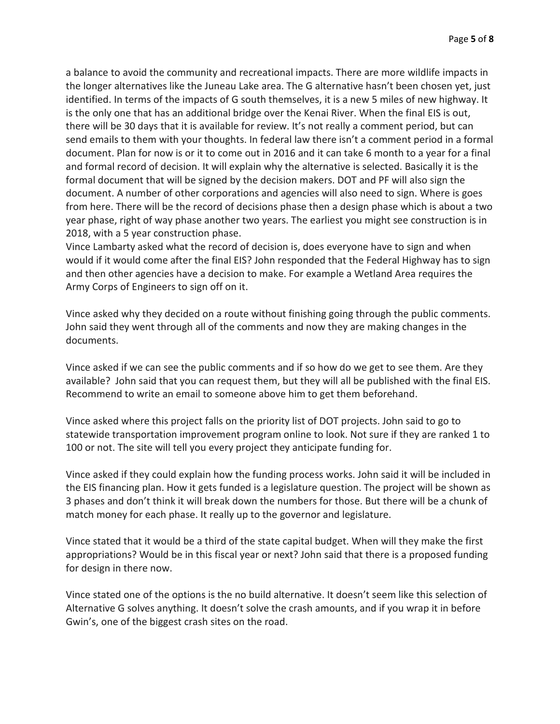a balance to avoid the community and recreational impacts. There are more wildlife impacts in the longer alternatives like the Juneau Lake area. The G alternative hasn't been chosen yet, just identified. In terms of the impacts of G south themselves, it is a new 5 miles of new highway. It is the only one that has an additional bridge over the Kenai River. When the final EIS is out, there will be 30 days that it is available for review. It's not really a comment period, but can send emails to them with your thoughts. In federal law there isn't a comment period in a formal document. Plan for now is or it to come out in 2016 and it can take 6 month to a year for a final and formal record of decision. It will explain why the alternative is selected. Basically it is the formal document that will be signed by the decision makers. DOT and PF will also sign the document. A number of other corporations and agencies will also need to sign. Where is goes from here. There will be the record of decisions phase then a design phase which is about a two year phase, right of way phase another two years. The earliest you might see construction is in 2018, with a 5 year construction phase.

Vince Lambarty asked what the record of decision is, does everyone have to sign and when would if it would come after the final EIS? John responded that the Federal Highway has to sign and then other agencies have a decision to make. For example a Wetland Area requires the Army Corps of Engineers to sign off on it.

Vince asked why they decided on a route without finishing going through the public comments. John said they went through all of the comments and now they are making changes in the documents.

Vince asked if we can see the public comments and if so how do we get to see them. Are they available? John said that you can request them, but they will all be published with the final EIS. Recommend to write an email to someone above him to get them beforehand.

Vince asked where this project falls on the priority list of DOT projects. John said to go to statewide transportation improvement program online to look. Not sure if they are ranked 1 to 100 or not. The site will tell you every project they anticipate funding for.

Vince asked if they could explain how the funding process works. John said it will be included in the EIS financing plan. How it gets funded is a legislature question. The project will be shown as 3 phases and don't think it will break down the numbers for those. But there will be a chunk of match money for each phase. It really up to the governor and legislature.

Vince stated that it would be a third of the state capital budget. When will they make the first appropriations? Would be in this fiscal year or next? John said that there is a proposed funding for design in there now.

Vince stated one of the options is the no build alternative. It doesn't seem like this selection of Alternative G solves anything. It doesn't solve the crash amounts, and if you wrap it in before Gwin's, one of the biggest crash sites on the road.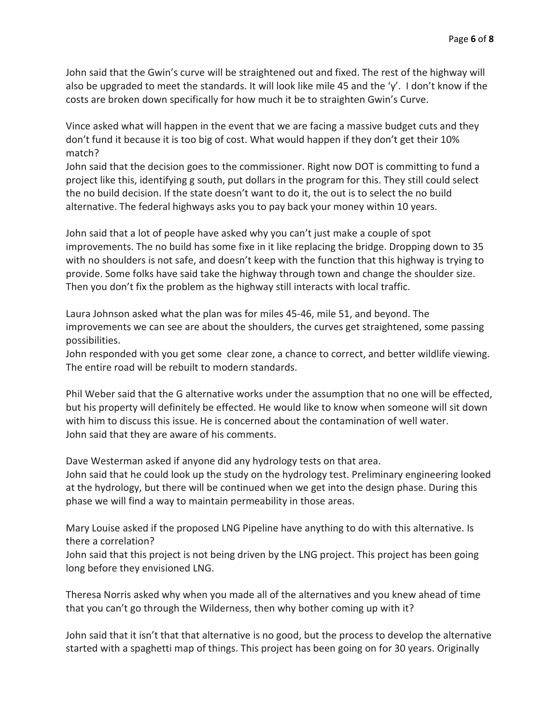John said that the Gwin's curve will be straightened out and fixed. The rest of the highway will also be upgraded to meet the standards. It will look like mile 45 and the 'y'. I don't know if the costs are broken down specifically for how much it be to straighten Gwin's Curve.

Vince asked what will happen in the event that we are facing a massive budget cuts and they don't fund it because it is too big of cost. What would happen if they don't get their 10% match?

John said that the decision goes to the commissioner. Right now DOT is committing to fund a project like this, identifying g south, put dollars in the program for this. They still could select the no build decision. If the state doesn't want to do it, the out is to select the no build alternative. The federal highways asks you to pay back your money within 10 years.

John said that a lot of people have asked why you can't just make a couple of spot improvements. The no build has some fixe in it like replacing the bridge. Dropping down to 35 with no shoulders is not safe, and doesn't keep with the function that this highway is trying to provide. Some folks have said take the highway through town and change the shoulder size. Then you don't fix the problem as the highway still interacts with local traffic.

Laura Johnson asked what the plan was for miles 45-46, mile 51, and beyond. The improvements we can see are about the shoulders, the curves get straightened, some passing possibilities.

John responded with you get some clear zone, a chance to correct, and better wildlife viewing. The entire road will be rebuilt to modern standards.

Phil Weber said that the G alternative works under the assumption that no one will be effected, but his property will definitely be effected. He would like to know when someone will sit down with him to discuss this issue. He is concerned about the contamination of well water. John said that they are aware of his comments.

Dave Westerman asked if anyone did any hydrology tests on that area.

John said that he could look up the study on the hydrology test. Preliminary engineering looked at the hydrology, but there will be continued when we get into the design phase. During this phase we will find a way to maintain permeability in those areas.

Mary Louise asked if the proposed LNG Pipeline have anything to do with this alternative. Is there a correlation?

John said that this project is not being driven by the LNG project. This project has been going long before they envisioned LNG.

Theresa Norris asked why when you made all of the alternatives and you knew ahead of time that you can't go through the Wilderness, then why bother coming up with it?

John said that it isn't that that alternative is no good, but the process to develop the alternative started with a spaghetti map of things. This project has been going on for 30 years. Originally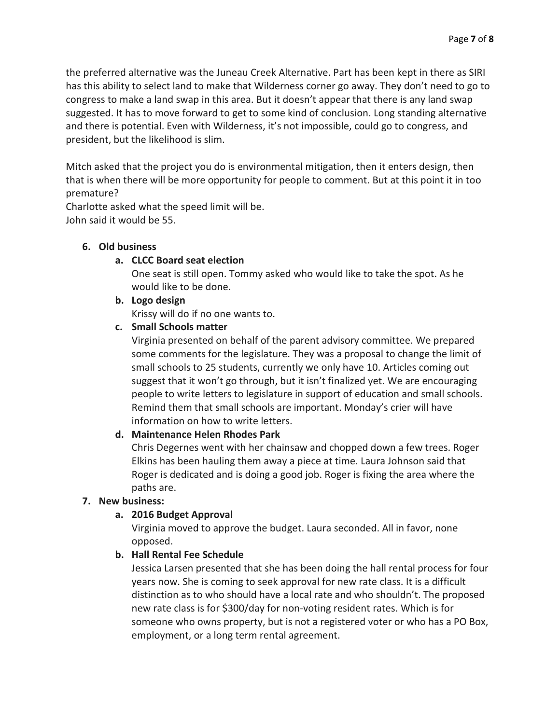the preferred alternative was the Juneau Creek Alternative. Part has been kept in there as SIRI has this ability to select land to make that Wilderness corner go away. They don't need to go to congress to make a land swap in this area. But it doesn't appear that there is any land swap suggested. It has to move forward to get to some kind of conclusion. Long standing alternative and there is potential. Even with Wilderness, it's not impossible, could go to congress, and president, but the likelihood is slim.

Mitch asked that the project you do is environmental mitigation, then it enters design, then that is when there will be more opportunity for people to comment. But at this point it in too premature?

Charlotte asked what the speed limit will be. John said it would be 55.

#### **6. Old business**

#### **a. CLCC Board seat election**

One seat is still open. Tommy asked who would like to take the spot. As he would like to be done.

#### **b. Logo design**

Krissy will do if no one wants to.

#### **c. Small Schools matter**

Virginia presented on behalf of the parent advisory committee. We prepared some comments for the legislature. They was a proposal to change the limit of small schools to 25 students, currently we only have 10. Articles coming out suggest that it won't go through, but it isn't finalized yet. We are encouraging people to write letters to legislature in support of education and small schools. Remind them that small schools are important. Monday's crier will have information on how to write letters.

#### **d. Maintenance Helen Rhodes Park**

Chris Degernes went with her chainsaw and chopped down a few trees. Roger Elkins has been hauling them away a piece at time. Laura Johnson said that Roger is dedicated and is doing a good job. Roger is fixing the area where the paths are.

#### **7. New business:**

#### **a. 2016 Budget Approval**

Virginia moved to approve the budget. Laura seconded. All in favor, none opposed.

#### **b. Hall Rental Fee Schedule**

Jessica Larsen presented that she has been doing the hall rental process for four years now. She is coming to seek approval for new rate class. It is a difficult distinction as to who should have a local rate and who shouldn't. The proposed new rate class is for \$300/day for non-voting resident rates. Which is for someone who owns property, but is not a registered voter or who has a PO Box, employment, or a long term rental agreement.